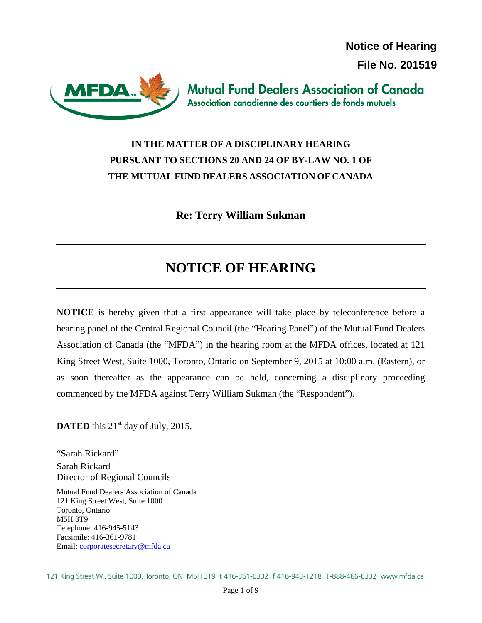**Notice of Hearing File No. 201519**



**Mutual Fund Dealers Association of Canada** Association canadienne des courtiers de fonds mutuels

## **IN THE MATTER OF A DISCIPLINARY HEARING PURSUANT TO SECTIONS 20 AND 24 OF BY-LAW NO. 1 OF THE MUTUAL FUND DEALERS ASSOCIATION OF CANADA**

**Re: Terry William Sukman**

# **NOTICE OF HEARING**

**NOTICE** is hereby given that a first appearance will take place by teleconference before a hearing panel of the Central Regional Council (the "Hearing Panel") of the Mutual Fund Dealers Association of Canada (the "MFDA") in the hearing room at the MFDA offices, located at 121 King Street West, Suite 1000, Toronto, Ontario on September 9, 2015 at 10:00 a.m. (Eastern), or as soon thereafter as the appearance can be held, concerning a disciplinary proceeding commenced by the MFDA against Terry William Sukman (the "Respondent").

**DATED** this  $21<sup>st</sup>$  day of July, 2015.

"Sarah Rickard" Sarah Rickard Director of Regional Councils

Mutual Fund Dealers Association of Canada 121 King Street West, Suite 1000 Toronto, Ontario M5H 3T9 Telephone: 416-945-5143 Facsimile: 416-361-9781 Email: [corporatesecretary@mfda.ca](mailto:corporatesecretary@mfda.ca)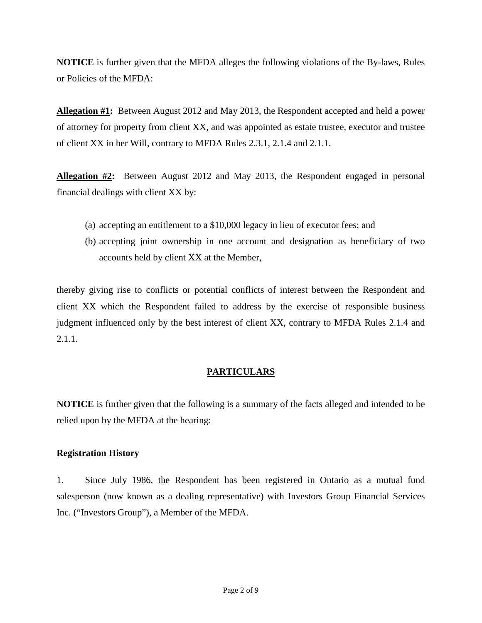**NOTICE** is further given that the MFDA alleges the following violations of the By-laws, Rules or Policies of the MFDA:

**Allegation #1:** Between August 2012 and May 2013, the Respondent accepted and held a power of attorney for property from client XX, and was appointed as estate trustee, executor and trustee of client XX in her Will, contrary to MFDA Rules 2.3.1, 2.1.4 and 2.1.1.

**Allegation #2:** Between August 2012 and May 2013, the Respondent engaged in personal financial dealings with client XX by:

- (a) accepting an entitlement to a \$10,000 legacy in lieu of executor fees; and
- (b) accepting joint ownership in one account and designation as beneficiary of two accounts held by client XX at the Member,

thereby giving rise to conflicts or potential conflicts of interest between the Respondent and client XX which the Respondent failed to address by the exercise of responsible business judgment influenced only by the best interest of client XX, contrary to MFDA Rules 2.1.4 and 2.1.1.

### **PARTICULARS**

**NOTICE** is further given that the following is a summary of the facts alleged and intended to be relied upon by the MFDA at the hearing:

#### **Registration History**

1. Since July 1986, the Respondent has been registered in Ontario as a mutual fund salesperson (now known as a dealing representative) with Investors Group Financial Services Inc. ("Investors Group"), a Member of the MFDA.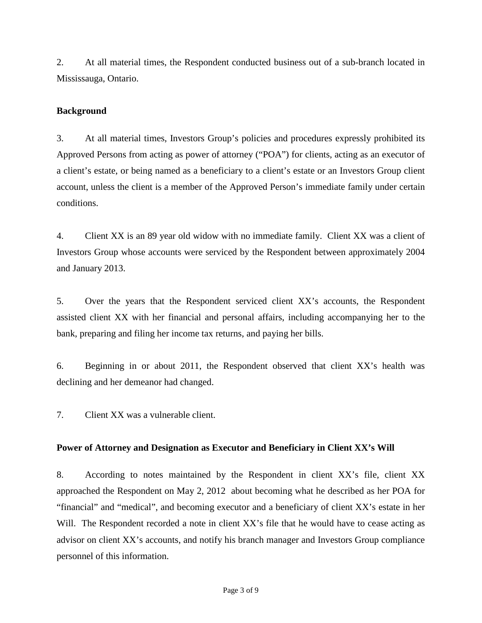2. At all material times, the Respondent conducted business out of a sub-branch located in Mississauga, Ontario.

#### **Background**

3. At all material times, Investors Group's policies and procedures expressly prohibited its Approved Persons from acting as power of attorney ("POA") for clients, acting as an executor of a client's estate, or being named as a beneficiary to a client's estate or an Investors Group client account, unless the client is a member of the Approved Person's immediate family under certain conditions.

4. Client XX is an 89 year old widow with no immediate family. Client XX was a client of Investors Group whose accounts were serviced by the Respondent between approximately 2004 and January 2013.

5. Over the years that the Respondent serviced client XX's accounts, the Respondent assisted client XX with her financial and personal affairs, including accompanying her to the bank, preparing and filing her income tax returns, and paying her bills.

6. Beginning in or about 2011, the Respondent observed that client XX's health was declining and her demeanor had changed.

7. Client XX was a vulnerable client.

#### **Power of Attorney and Designation as Executor and Beneficiary in Client XX's Will**

8. According to notes maintained by the Respondent in client XX's file, client XX approached the Respondent on May 2, 2012 about becoming what he described as her POA for "financial" and "medical", and becoming executor and a beneficiary of client XX's estate in her Will. The Respondent recorded a note in client XX's file that he would have to cease acting as advisor on client XX's accounts, and notify his branch manager and Investors Group compliance personnel of this information.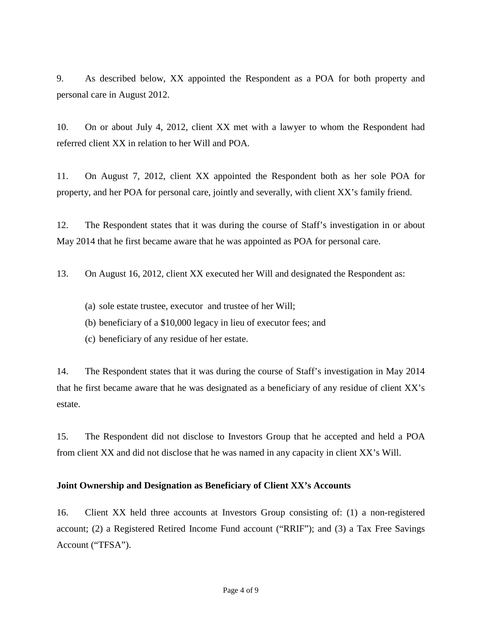9. As described below, XX appointed the Respondent as a POA for both property and personal care in August 2012.

10. On or about July 4, 2012, client XX met with a lawyer to whom the Respondent had referred client XX in relation to her Will and POA.

11. On August 7, 2012, client XX appointed the Respondent both as her sole POA for property, and her POA for personal care, jointly and severally, with client XX's family friend.

12. The Respondent states that it was during the course of Staff's investigation in or about May 2014 that he first became aware that he was appointed as POA for personal care.

13. On August 16, 2012, client XX executed her Will and designated the Respondent as:

- (a) sole estate trustee, executor and trustee of her Will;
- (b) beneficiary of a \$10,000 legacy in lieu of executor fees; and
- (c) beneficiary of any residue of her estate.

14. The Respondent states that it was during the course of Staff's investigation in May 2014 that he first became aware that he was designated as a beneficiary of any residue of client XX's estate.

15. The Respondent did not disclose to Investors Group that he accepted and held a POA from client XX and did not disclose that he was named in any capacity in client XX's Will.

#### **Joint Ownership and Designation as Beneficiary of Client XX's Accounts**

16. Client XX held three accounts at Investors Group consisting of: (1) a non-registered account; (2) a Registered Retired Income Fund account ("RRIF"); and (3) a Tax Free Savings Account ("TFSA").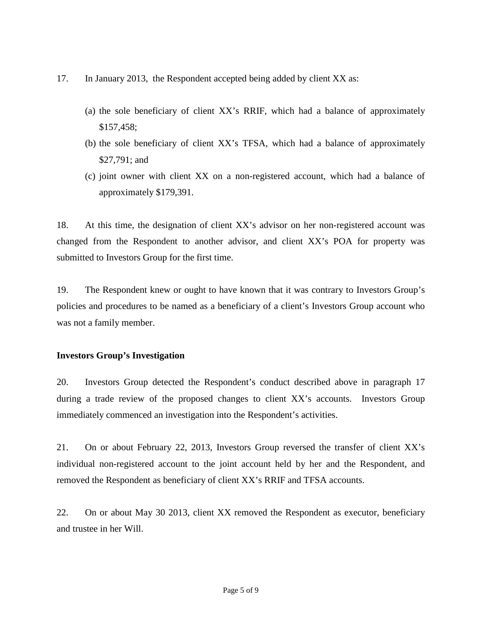- 17. In January 2013, the Respondent accepted being added by client XX as:
	- (a) the sole beneficiary of client XX's RRIF, which had a balance of approximately \$157,458;
	- (b) the sole beneficiary of client XX's TFSA, which had a balance of approximately \$27,791; and
	- (c) joint owner with client XX on a non-registered account, which had a balance of approximately \$179,391.

18. At this time, the designation of client XX's advisor on her non-registered account was changed from the Respondent to another advisor, and client XX's POA for property was submitted to Investors Group for the first time.

19. The Respondent knew or ought to have known that it was contrary to Investors Group's policies and procedures to be named as a beneficiary of a client's Investors Group account who was not a family member.

#### **Investors Group's Investigation**

20. Investors Group detected the Respondent's conduct described above in paragraph 17 during a trade review of the proposed changes to client XX's accounts. Investors Group immediately commenced an investigation into the Respondent's activities.

21. On or about February 22, 2013, Investors Group reversed the transfer of client XX's individual non-registered account to the joint account held by her and the Respondent, and removed the Respondent as beneficiary of client XX's RRIF and TFSA accounts.

22. On or about May 30 2013, client XX removed the Respondent as executor, beneficiary and trustee in her Will.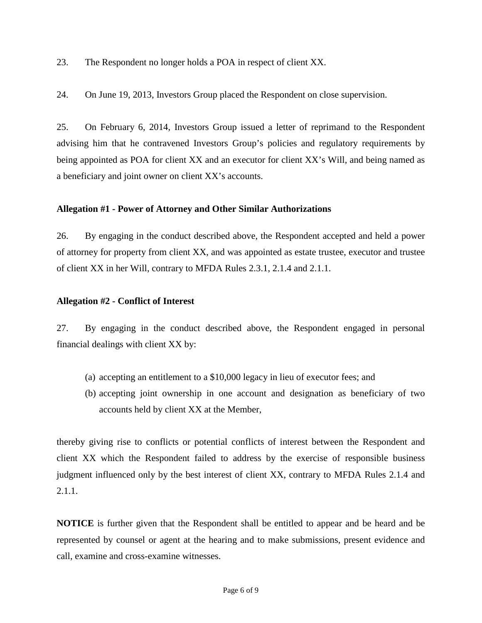23. The Respondent no longer holds a POA in respect of client XX.

24. On June 19, 2013, Investors Group placed the Respondent on close supervision.

25. On February 6, 2014, Investors Group issued a letter of reprimand to the Respondent advising him that he contravened Investors Group's policies and regulatory requirements by being appointed as POA for client XX and an executor for client XX's Will, and being named as a beneficiary and joint owner on client XX's accounts.

#### **Allegation #1 - Power of Attorney and Other Similar Authorizations**

26. By engaging in the conduct described above, the Respondent accepted and held a power of attorney for property from client XX, and was appointed as estate trustee, executor and trustee of client XX in her Will, contrary to MFDA Rules 2.3.1, 2.1.4 and 2.1.1.

#### **Allegation #2 - Conflict of Interest**

27. By engaging in the conduct described above, the Respondent engaged in personal financial dealings with client XX by:

- (a) accepting an entitlement to a \$10,000 legacy in lieu of executor fees; and
- (b) accepting joint ownership in one account and designation as beneficiary of two accounts held by client XX at the Member,

thereby giving rise to conflicts or potential conflicts of interest between the Respondent and client XX which the Respondent failed to address by the exercise of responsible business judgment influenced only by the best interest of client XX, contrary to MFDA Rules 2.1.4 and 2.1.1.

**NOTICE** is further given that the Respondent shall be entitled to appear and be heard and be represented by counsel or agent at the hearing and to make submissions, present evidence and call, examine and cross-examine witnesses.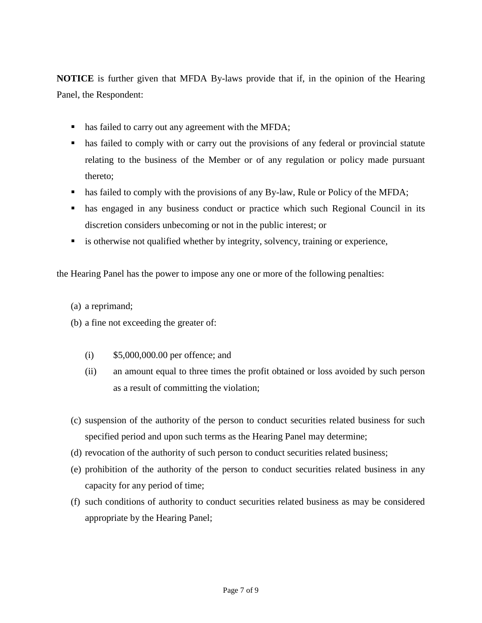**NOTICE** is further given that MFDA By-laws provide that if, in the opinion of the Hearing Panel, the Respondent:

- has failed to carry out any agreement with the MFDA;
- has failed to comply with or carry out the provisions of any federal or provincial statute relating to the business of the Member or of any regulation or policy made pursuant thereto;
- has failed to comply with the provisions of any By-law, Rule or Policy of the MFDA;
- has engaged in any business conduct or practice which such Regional Council in its discretion considers unbecoming or not in the public interest; or
- is otherwise not qualified whether by integrity, solvency, training or experience,

the Hearing Panel has the power to impose any one or more of the following penalties:

- (a) a reprimand;
- (b) a fine not exceeding the greater of:
	- (i) \$5,000,000.00 per offence; and
	- (ii) an amount equal to three times the profit obtained or loss avoided by such person as a result of committing the violation;
- (c) suspension of the authority of the person to conduct securities related business for such specified period and upon such terms as the Hearing Panel may determine;
- (d) revocation of the authority of such person to conduct securities related business;
- (e) prohibition of the authority of the person to conduct securities related business in any capacity for any period of time;
- (f) such conditions of authority to conduct securities related business as may be considered appropriate by the Hearing Panel;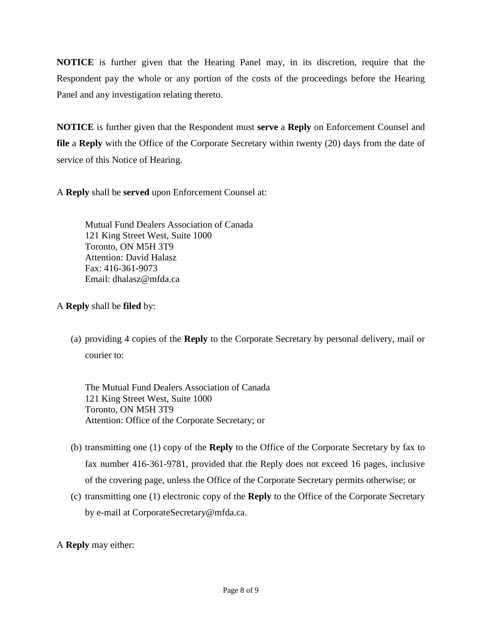**NOTICE** is further given that the Hearing Panel may, in its discretion, require that the Respondent pay the whole or any portion of the costs of the proceedings before the Hearing Panel and any investigation relating thereto.

**NOTICE** is further given that the Respondent must **serve** a **Reply** on Enforcement Counsel and **file** a **Reply** with the Office of the Corporate Secretary within twenty (20) days from the date of service of this Notice of Hearing.

A **Reply** shall be **served** upon Enforcement Counsel at:

Mutual Fund Dealers Association of Canada 121 King Street West, Suite 1000 Toronto, ON M5H 3T9 Attention: David Halasz Fax: 416-361-9073 Email: dhalasz@mfda.ca

A **Reply** shall be **filed** by:

(a) providing 4 copies of the **Reply** to the Corporate Secretary by personal delivery, mail or courier to:

The Mutual Fund Dealers Association of Canada 121 King Street West, Suite 1000 Toronto, ON M5H 3T9 Attention: Office of the Corporate Secretary; or

- (b) transmitting one (1) copy of the **Reply** to the Office of the Corporate Secretary by fax to fax number 416-361-9781, provided that the Reply does not exceed 16 pages, inclusive of the covering page, unless the Office of the Corporate Secretary permits otherwise; or
- (c) transmitting one (1) electronic copy of the **Reply** to the Office of the Corporate Secretary by e-mail at CorporateSecretary@mfda.ca.
- A **Reply** may either: